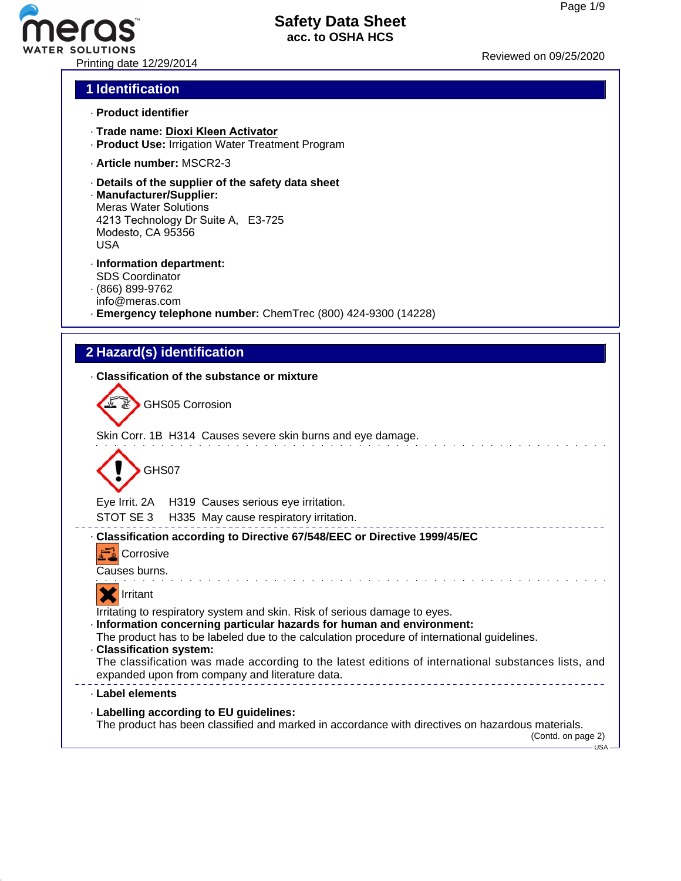# Printing date 12/29/2014 Reviewed on 09/25/20<sup>20</sup>

## **Safety Data Sheet acc. to OSHA HCS**

#### **1 Identification**

- · **Product identifier**
- · **Trade name: Dioxi Kleen Activator**
- · **Product Use:** Irrigation Water Treatment Program
- · **Article number:** MSCR2-3
- · **Details of the supplier of the safety data sheet**
- · **Manufacturer/Supplier:** Meras Water Solutions 4213 Technology Dr Suite A, E3-725 Modesto, CA 95356 USA
- · **Information department:** SDS Coordinator · (866) 899-9762
- info@meras.com
- · **Emergency telephone number:** ChemTrec (800) 424-9300 (14228)

### **2 Hazard(s) identification**

· **Classification of the substance or mixture**

GHS05 Corrosion

Skin Corr. 1B H314 Causes severe skin burns and eye damage.



Eye Irrit. 2A H319 Causes serious eye irritation.

STOT SE 3 H335 May cause respiratory irritation.

#### --------------------------· **Classification according to Directive 67/548/EEC or Directive 1999/45/EC**



Causes burns.



Irritating to respiratory system and skin. Risk of serious damage to eyes.

- · **Information concerning particular hazards for human and environment:**
- The product has to be labeled due to the calculation procedure of international guidelines.
- · **Classification system:**

The classification was made according to the latest editions of international substances lists, and expanded upon from company and literature data. \_\_\_\_\_\_\_\_\_\_\_\_\_\_\_\_\_\_\_\_\_\_\_\_\_\_\_\_\_\_\_\_\_

#### · **Label elements**

· **Labelling according to EU guidelines:**

The product has been classified and marked in accordance with directives on hazardous materials.

(Contd. on page 2)  $-$ USA -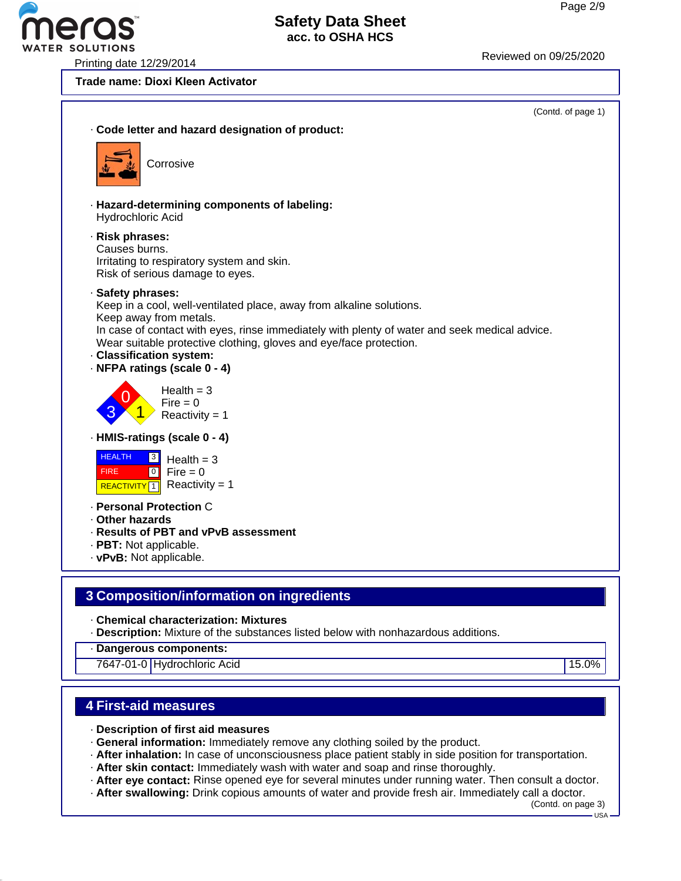Printing date 12/29/2014 Reviewed on 09/25/2<sup>020</sup>

R SOLUTIONS

**Trade name: Dioxi Kleen Activator**



· **Chemical characterization: Mixtures**

· **Description:** Mixture of the substances listed below with nonhazardous additions.

· **Dangerous components:**

7647-01-0 Hydrochloric Acid 15.0%

#### **4 First-aid measures**

- · **Description of first aid measures**
- · **General information:** Immediately remove any clothing soiled by the product.
- · **After inhalation:** In case of unconsciousness place patient stably in side position for transportation.
- · **After skin contact:** Immediately wash with water and soap and rinse thoroughly.
- · **After eye contact:** Rinse opened eye for several minutes under running water. Then consult a doctor.
- · **After swallowing:** Drink copious amounts of water and provide fresh air. Immediately call a doctor.

(Contd. on page 3)  $-1$ ISA -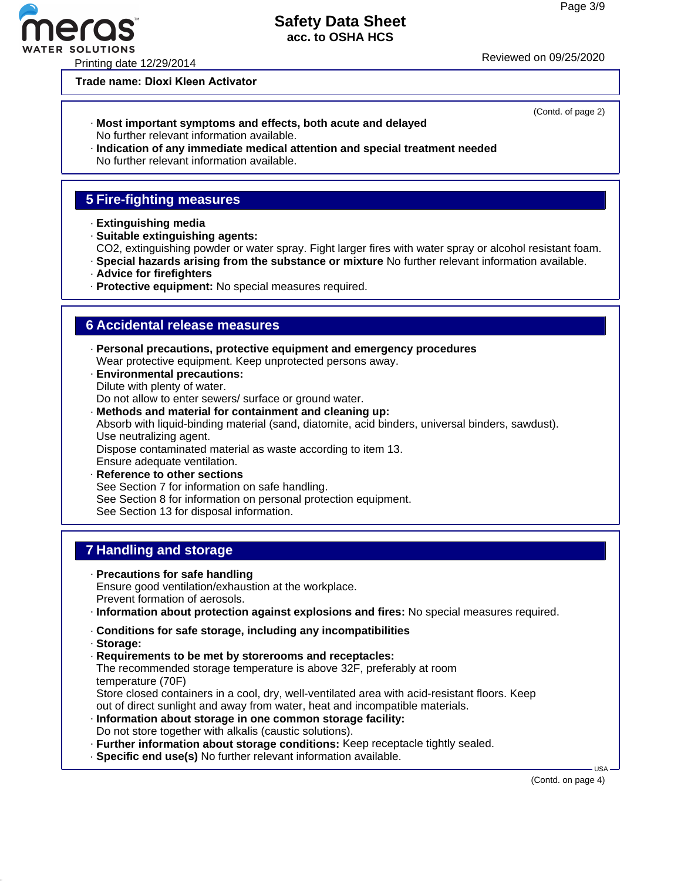# **Safety Data Sheet**

**acc. to OSHA HCS**

Printing date 12/29/2014 Reviewed on 09/25/2020

**Trade name: Dioxi Kleen Activator**

- · **Most important symptoms and effects, both acute and delayed** No further relevant information available.
- · **Indication of any immediate medical attention and special treatment needed** No further relevant information available.

#### **5 Fire-fighting measures**

- · **Extinguishing media**
- · **Suitable extinguishing agents:**
- CO2, extinguishing powder or water spray. Fight larger fires with water spray or alcohol resistant foam.
- · **Special hazards arising from the substance or mixture** No further relevant information available.
- · **Advice for firefighters**
- · **Protective equipment:** No special measures required.

#### **6 Accidental release measures**

- · **Personal precautions, protective equipment and emergency procedures** Wear protective equipment. Keep unprotected persons away.
- · **Environmental precautions:** Dilute with plenty of water. Do not allow to enter sewers/ surface or ground water.
- · **Methods and material for containment and cleaning up:** Absorb with liquid-binding material (sand, diatomite, acid binders, universal binders, sawdust). Use neutralizing agent. Dispose contaminated material as waste according to item 13. Ensure adequate ventilation. · **Reference to other sections**
- See Section 7 for information on safe handling. See Section 8 for information on personal protection equipment. See Section 13 for disposal information.

#### **7 Handling and storage**

- · **Precautions for safe handling** Ensure good ventilation/exhaustion at the workplace. Prevent formation of aerosols.
- · **Information about protection against explosions and fires:** No special measures required.
- · **Conditions for safe storage, including any incompatibilities**
- · **Storage:**
- · **Requirements to be met by storerooms and receptacles:** The recommended storage temperature is above 32F, preferably at room temperature (70F)

Store closed containers in a cool, dry, well-ventilated area with acid-resistant floors. Keep out of direct sunlight and away from water, heat and incompatible materials.

- · **Information about storage in one common storage facility:** Do not store together with alkalis (caustic solutions).
- · **Further information about storage conditions:** Keep receptacle tightly sealed.
- · **Specific end use(s)** No further relevant information available.

(Contd. on page 4)

USA



(Contd. of page 2)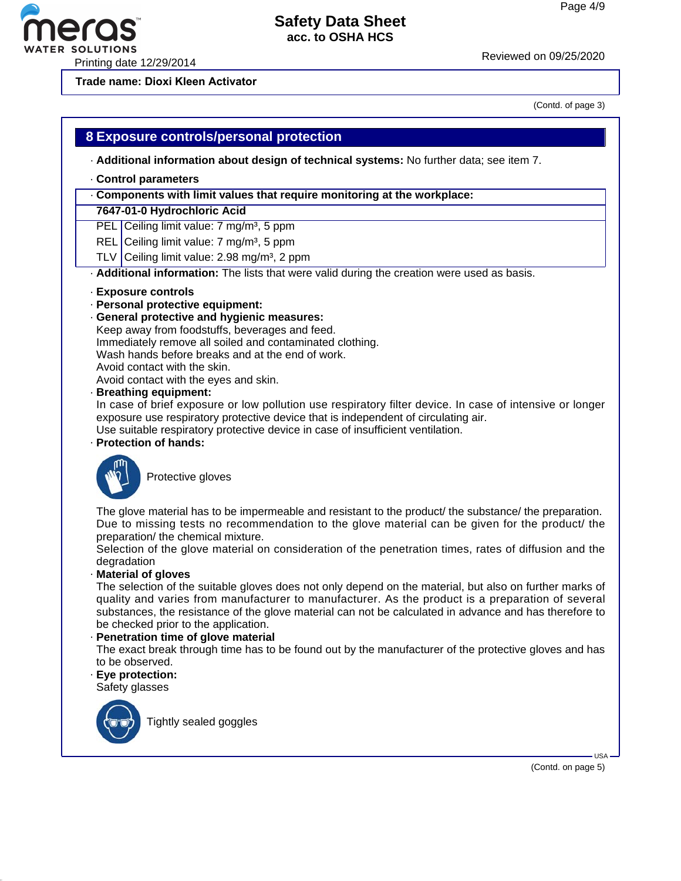# Printing date 12/29/2014 Reviewed on 09/25/2020

(Contd. of page 3)

# **8 Exposure controls/personal protection**

· **Additional information about design of technical systems:** No further data; see item 7.

#### · **Control parameters**

#### · **Components with limit values that require monitoring at the workplace:**

**7647-01-0 Hydrochloric Acid**

**Trade name: Dioxi Kleen Activator**

PEL Ceiling limit value: 7 mg/m<sup>3</sup>, 5 ppm

REL Ceiling limit value:  $7 \text{ mg/m}^3$ , 5 ppm

TLV  $Ceiling limit value: 2.98 mg/m<sup>3</sup>, 2 ppm$ 

· **Additional information:** The lists that were valid during the creation were used as basis.

#### · **Exposure controls**

#### · **Personal protective equipment:**

· **General protective and hygienic measures:** Keep away from foodstuffs, beverages and feed. Immediately remove all soiled and contaminated clothing. Wash hands before breaks and at the end of work. Avoid contact with the skin. Avoid contact with the eyes and skin.

#### · **Breathing equipment:**

In case of brief exposure or low pollution use respiratory filter device. In case of intensive or longer exposure use respiratory protective device that is independent of circulating air.

Use suitable respiratory protective device in case of insufficient ventilation.

#### · **Protection of hands:**



Protective gloves

The glove material has to be impermeable and resistant to the product/ the substance/ the preparation. Due to missing tests no recommendation to the glove material can be given for the product/ the preparation/ the chemical mixture.

Selection of the glove material on consideration of the penetration times, rates of diffusion and the degradation

#### · **Material of gloves**

The selection of the suitable gloves does not only depend on the material, but also on further marks of quality and varies from manufacturer to manufacturer. As the product is a preparation of several substances, the resistance of the glove material can not be calculated in advance and has therefore to be checked prior to the application.

#### · **Penetration time of glove material**

The exact break through time has to be found out by the manufacturer of the protective gloves and has to be observed.

· **Eye protection:**

Safety glasses



Tightly sealed goggles

(Contd. on page 5)

USA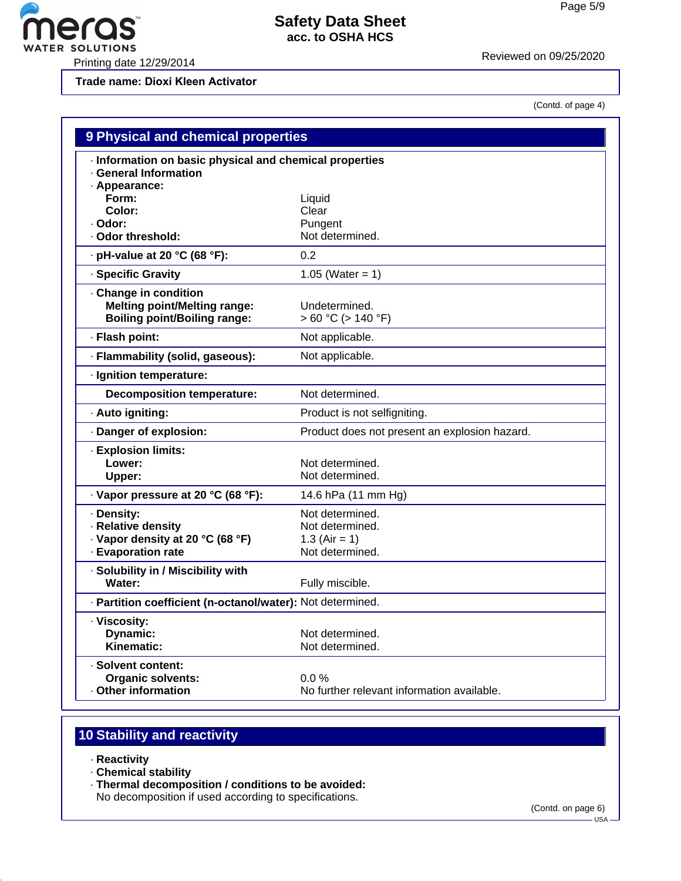WATER SOLUTIONS<br>Printing date 12/29/2014 Reviewed on 09/25/2020

**eras** 

**Trade name: Dioxi Kleen Activator**

(Contd. of page 4)

| 9 Physical and chemical properties                                                                  |                                               |  |
|-----------------------------------------------------------------------------------------------------|-----------------------------------------------|--|
| · Information on basic physical and chemical properties<br><b>General Information</b>               |                                               |  |
| · Appearance:<br>Form:                                                                              | Liquid                                        |  |
| Color:                                                                                              | Clear                                         |  |
| · Odor:                                                                                             | Pungent                                       |  |
| Odor threshold:                                                                                     | Not determined.                               |  |
| . pH-value at 20 °C (68 °F):                                                                        | 0.2                                           |  |
| · Specific Gravity                                                                                  | 1.05 (Water = $1$ )                           |  |
| · Change in condition<br><b>Melting point/Melting range:</b><br><b>Boiling point/Boiling range:</b> | Undetermined.<br>$> 60 °C$ ( $> 140 °F$ )     |  |
| · Flash point:                                                                                      | Not applicable.                               |  |
| · Flammability (solid, gaseous):                                                                    | Not applicable.                               |  |
| · Ignition temperature:                                                                             |                                               |  |
| <b>Decomposition temperature:</b>                                                                   | Not determined.                               |  |
| · Auto igniting:                                                                                    | Product is not selfigniting.                  |  |
| Danger of explosion:                                                                                | Product does not present an explosion hazard. |  |
| · Explosion limits:                                                                                 |                                               |  |
| Lower:                                                                                              | Not determined.                               |  |
| Upper:                                                                                              | Not determined.                               |  |
| · Vapor pressure at 20 °C (68 °F):                                                                  | 14.6 hPa (11 mm Hg)                           |  |
| · Density:                                                                                          | Not determined.                               |  |
| · Relative density                                                                                  | Not determined.                               |  |
| · Vapor density at 20 °C (68 °F)                                                                    | 1.3 (Air = 1)                                 |  |
| - Evaporation rate                                                                                  | Not determined.                               |  |
| · Solubility in / Miscibility with                                                                  |                                               |  |
| Water:                                                                                              | Fully miscible.                               |  |
| · Partition coefficient (n-octanol/water): Not determined.                                          |                                               |  |
| · Viscosity:                                                                                        |                                               |  |
| Dynamic:                                                                                            | Not determined.                               |  |
| Kinematic:                                                                                          | Not determined.                               |  |
| · Solvent content:                                                                                  |                                               |  |
| <b>Organic solvents:</b>                                                                            | 0.0%                                          |  |
| <b>Other information</b>                                                                            | No further relevant information available.    |  |

# **10 Stability and reactivity**

- · **Reactivity**
- · **Chemical stability**
- · **Thermal decomposition / conditions to be avoided:**

No decomposition if used according to specifications.

 $-$  USA  $\cdot$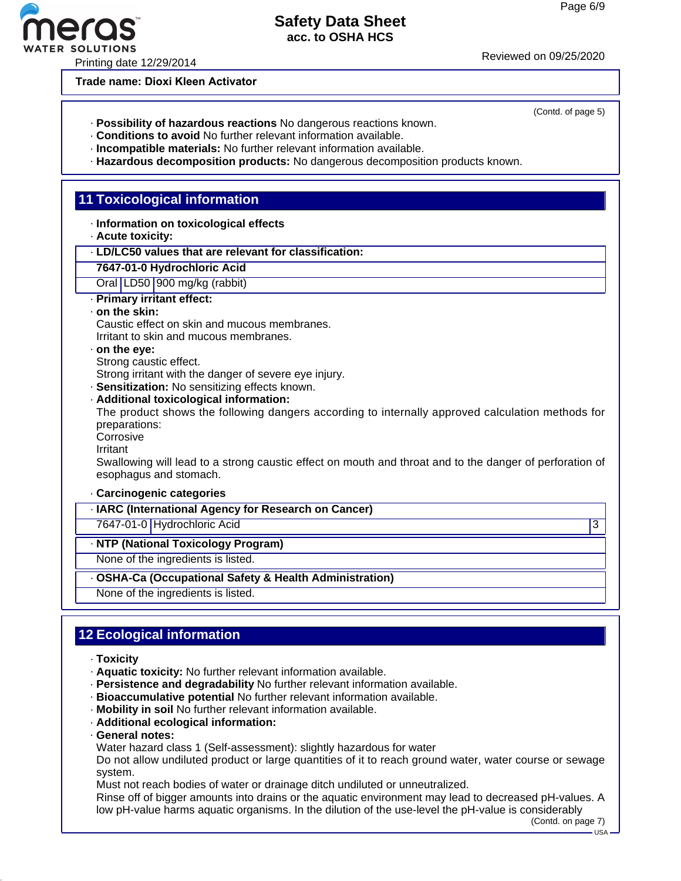R SOLUTIONS<br>Printing date 12/29/2014 Printing date 12/29/2014

**Trade name: Dioxi Kleen Activator**

- · **Possibility of hazardous reactions** No dangerous reactions known.
- · **Conditions to avoid** No further relevant information available.
- · **Incompatible materials:** No further relevant information available.
- · **Hazardous decomposition products:** No dangerous decomposition products known.

#### **11 Toxicological information**

- · **Information on toxicological effects**
- · **Acute toxicity:**
- · **LD/LC50 values that are relevant for classification:**
- **7647-01-0 Hydrochloric Acid**
- Oral LD50 900 mg/kg (rabbit)
- · **Primary irritant effect:**
- · **on the skin:**

Caustic effect on skin and mucous membranes. Irritant to skin and mucous membranes.

#### · **on the eye:**

Strong caustic effect.

Strong irritant with the danger of severe eye injury.

· **Sensitization:** No sensitizing effects known.

· **Additional toxicological information:**

The product shows the following dangers according to internally approved calculation methods for preparations:

- Corrosive
- Irritant

Swallowing will lead to a strong caustic effect on mouth and throat and to the danger of perforation of esophagus and stomach.

#### · **Carcinogenic categories**

· **IARC (International Agency for Research on Cancer)**

7647-01-0 Hydrochloric Acid 3

· **NTP (National Toxicology Program)**

None of the ingredients is listed.

· **OSHA-Ca (Occupational Safety & Health Administration)**

None of the ingredients is listed.

# **12 Ecological information**

- · **Toxicity**
- · **Aquatic toxicity:** No further relevant information available.
- · **Persistence and degradability** No further relevant information available.
- · **Bioaccumulative potential** No further relevant information available.
- · **Mobility in soil** No further relevant information available.
- · **Additional ecological information:**
- · **General notes:**

Water hazard class 1 (Self-assessment): slightly hazardous for water

Do not allow undiluted product or large quantities of it to reach ground water, water course or sewage system.

Must not reach bodies of water or drainage ditch undiluted or unneutralized.

Rinse off of bigger amounts into drains or the aquatic environment may lead to decreased pH-values. A low pH-value harms aquatic organisms. In the dilution of the use-level the pH-value is considerably

(Contd. on page 7) USA

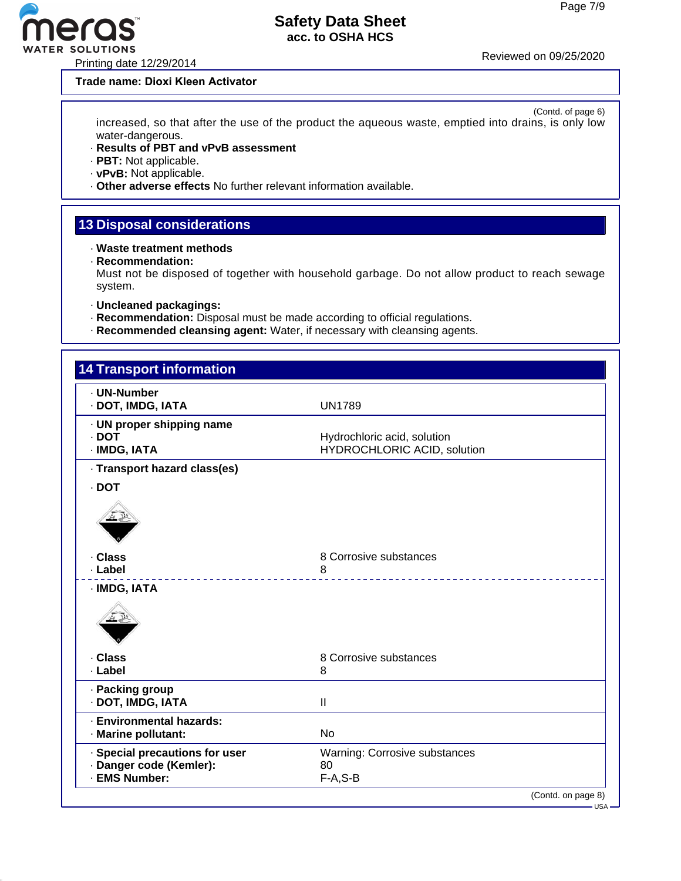Printing date 12/29/2014 Reviewed on 09/25/2020

#### **Trade name: Dioxi Kleen Activator**

(Contd. of page 6) increased, so that after the use of the product the aqueous waste, emptied into drains, is only low water-dangerous.

- · **Results of PBT and vPvB assessment**
- · **PBT:** Not applicable.
- · **vPvB:** Not applicable.
- · **Other adverse effects** No further relevant information available.

### **13 Disposal considerations**

- · **Waste treatment methods**
- · **Recommendation:**

Must not be disposed of together with household garbage. Do not allow product to reach sewage system.

- · **Uncleaned packagings:**
- · **Recommendation:** Disposal must be made according to official regulations.
- · **Recommended cleansing agent:** Water, if necessary with cleansing agents.

| . UN-Number<br>· DOT, IMDG, IATA                                           | <b>UN1789</b>                                              |  |
|----------------------------------------------------------------------------|------------------------------------------------------------|--|
| · UN proper shipping name<br>$.$ DOT<br>· IMDG, IATA                       | Hydrochloric acid, solution<br>HYDROCHLORIC ACID, solution |  |
| · Transport hazard class(es)                                               |                                                            |  |
| · DOT                                                                      |                                                            |  |
|                                                                            |                                                            |  |
| · Class                                                                    | 8 Corrosive substances                                     |  |
| · Label                                                                    | 8                                                          |  |
| · IMDG, IATA                                                               |                                                            |  |
| · Class<br>· Label                                                         | 8 Corrosive substances<br>8                                |  |
| · Packing group<br>· DOT, IMDG, IATA                                       | $\mathbf{H}$                                               |  |
| · Environmental hazards:<br>· Marine pollutant:                            | <b>No</b>                                                  |  |
| · Special precautions for user<br>· Danger code (Kemler):<br>· EMS Number: | Warning: Corrosive substances<br>80<br>$F-A, S-B$          |  |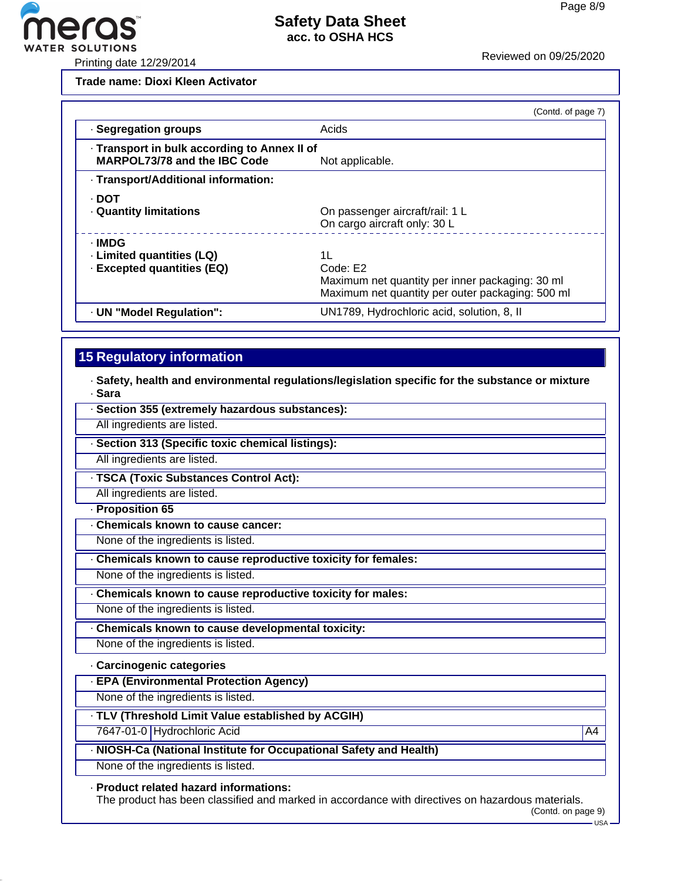

**Trade name: Dioxi Kleen Activator**

|                                                                                     | (Contd. of page 7)                                                                                                    |
|-------------------------------------------------------------------------------------|-----------------------------------------------------------------------------------------------------------------------|
| · Segregation groups                                                                | Acids                                                                                                                 |
| · Transport in bulk according to Annex II of<br><b>MARPOL73/78 and the IBC Code</b> | Not applicable.                                                                                                       |
| - Transport/Additional information:                                                 |                                                                                                                       |
| · DOT<br><b>Quantity limitations</b>                                                | On passenger aircraft/rail: 1 L<br>On cargo aircraft only: 30 L                                                       |
| · IMDG<br>· Limited quantities (LQ)<br><b>Excepted quantities (EQ)</b>              | 11<br>Code: E2<br>Maximum net quantity per inner packaging: 30 ml<br>Maximum net quantity per outer packaging: 500 ml |
| · UN "Model Regulation":                                                            | UN1789, Hydrochloric acid, solution, 8, II                                                                            |

# **15 Regulatory information**

· **Safety, health and environmental regulations/legislation specific for the substance or mixture** · **Sara**

| · Section 355 (extremely hazardous substances):                    |                |
|--------------------------------------------------------------------|----------------|
| All ingredients are listed.                                        |                |
| · Section 313 (Specific toxic chemical listings):                  |                |
| All ingredients are listed.                                        |                |
| · TSCA (Toxic Substances Control Act):                             |                |
| All ingredients are listed.                                        |                |
| · Proposition 65                                                   |                |
| Chemicals known to cause cancer:                                   |                |
| None of the ingredients is listed.                                 |                |
| Chemicals known to cause reproductive toxicity for females:        |                |
| None of the ingredients is listed.                                 |                |
| Chemicals known to cause reproductive toxicity for males:          |                |
| None of the ingredients is listed.                                 |                |
| Chemicals known to cause developmental toxicity:                   |                |
| None of the ingredients is listed.                                 |                |
| · Carcinogenic categories                                          |                |
| <b>EPA (Environmental Protection Agency)</b>                       |                |
| None of the ingredients is listed.                                 |                |
| . TLV (Threshold Limit Value established by ACGIH)                 |                |
| 7647-01-0 Hydrochloric Acid                                        | A <sub>4</sub> |
| · NIOSH-Ca (National Institute for Occupational Safety and Health) |                |
| None of the ingredients is listed.                                 |                |

#### · **Product related hazard informations:**

The product has been classified and marked in accordance with directives on hazardous materials.

(Contd. on page 9)  $-$  USA –